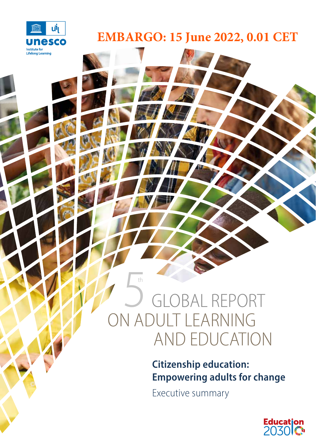

# **EMBARGO: 15 June 2022, 0.01 CET**

# 5 GLOBAL REPORT ON ADULT LEARNING AND EDUCATION th

# **Citizenship education: Empowering adults for change**

Executive summary

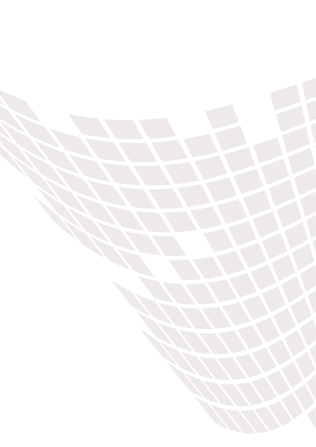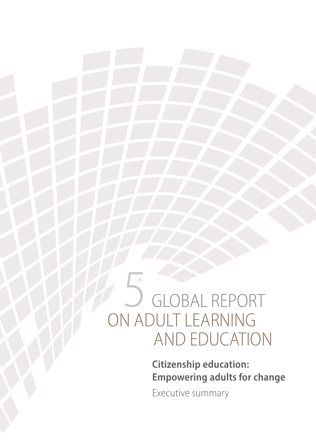# 5 GLOBAL REPORT ON ADULT LEARNING AND EDUCATION th

# **Citizenship education: Empowering adults for change**

Executive summary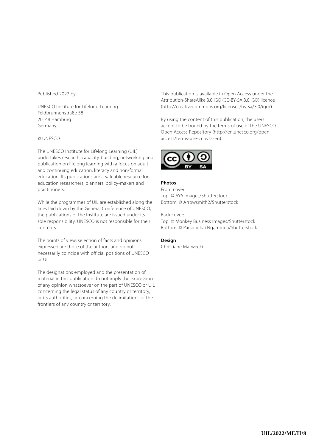Published 2022 by

UNESCO Institute for Lifelong Learning Feldbrunnenstraße 58 20148 Hamburg Germany

#### © UNESCO

The UNESCO Institute for Lifelong Learning (UIL) undertakes research, capacity-building, networking and publication on lifelong learning with a focus on adult and continuing education, literacy and non-formal education. Its publications are a valuable resource for education researchers, planners, policy-makers and practitioners.

While the programmes of UIL are established along the lines laid down by the General Conference of UNESCO, the publications of the Institute are issued under its sole responsibility. UNESCO is not responsible for their contents.

The points of view, selection of facts and opinions expressed are those of the authors and do not necessarily coincide with official positions of UNESCO or UIL.

The designations employed and the presentation of material in this publication do not imply the expression of any opinion whatsoever on the part of UNESCO or UIL concerning the legal status of any country or territory, or its authorities, or concerning the delimitations of the frontiers of any country or territory.

This publication is available in Open Access under the Attribution-ShareAlike 3.0 IGO (CC-BY-SA 3.0 IGO) licence (http://creativecommons.org/licenses/by-sa/3.0/igo/).

By using the content of this publication, the users accept to be bound by the terms of use of the UNESCO Open Access Repository (http://en.unesco.org/openaccess/terms-use-ccbysa-en).



#### **Photos**

Front cover: Top: © AYA images/Shutterstock Bottom: © Arrowsmith2/Shutterstock

Back cover: Top: © Monkey Business Images/Shutterstock Bottom: © Parsobchai Ngammoa/Shutterstock

#### **Design**

Christiane Marwecki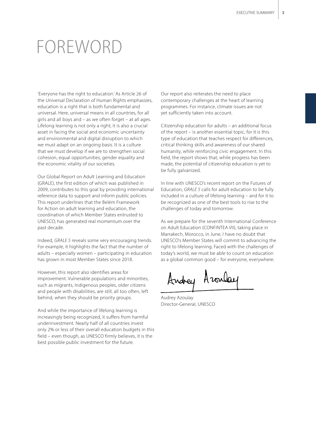# FOREWORD

'Everyone has the right to education.' As Article 26 of the Universal Declaration of Human Rights emphasizes, education is a right that is both fundamental and universal. Here, universal means in all countries, for all girls and all boys and – as we often forget – at all ages. Lifelong learning is not only a right; it is also a crucial asset in facing the social and economic uncertainty and environmental and digital disruption to which we must adapt on an ongoing basis. It is a culture that we must develop if we are to strengthen social cohesion, equal opportunities, gender equality and the economic vitality of our societies.

Our Global Report on Adult Learning and Education (GRALE), the first edition of which was published in 2009, contributes to this goal by providing international reference data to support and inform public policies. This report underlines that the Belém Framework for Action on adult learning and education, the coordination of which Member States entrusted to UNESCO, has generated real momentum over the past decade.

Indeed, *GRALE 5* reveals some very encouraging trends. For example, it highlights the fact that the number of adults – especially women – participating in education has grown in most Member States since 2018.

However, this report also identifies areas for improvement. Vulnerable populations and minorities, such as migrants, Indigenous peoples, older citizens and people with disabilities, are still, all too often, left behind, when they should be priority groups.

And while the importance of lifelong learning is increasingly being recognized, it suffers from harmful underinvestment. Nearly half of all countries invest only 2% or less of their overall education budgets in this field – even though, as UNESCO firmly believes, it is the best possible public investment for the future.

Our report also reiterates the need to place contemporary challenges at the heart of learning programmes. For instance, climate issues are not yet sufficiently taken into account.

Citizenship education for adults – an additional focus of the report – is another essential topic, for it is this type of education that teaches respect for differences, critical thinking skills and awareness of our shared humanity, while reinforcing civic engagement. In this field, the report shows that, while progress has been made, the potential of citizenship education is yet to be fully galvanized.

In line with UNESCO's recent report on the Futures of Education, *GRALE 5* calls for adult education to be fully included in a culture of lifelong learning – and for it to be recognized as one of the best tools to rise to the challenges of today and tomorrow.

As we prepare for the seventh International Conference on Adult Education (CONFINTEA VII), taking place in Marrakech, Morocco, in June, I have no doubt that UNESCO's Member States will commit to advancing the right to lifelong learning. Faced with the challenges of today's world, we must be able to count on education as a global common good – for everyone, everywhere.

Aroulai Andreu

Audrey Azoulay Director-General, UNESCO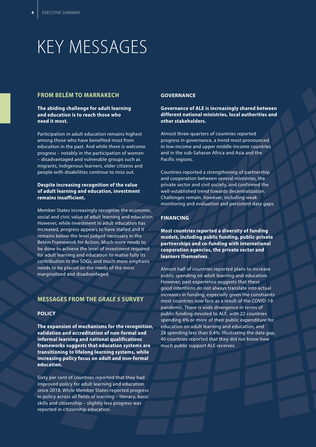# KEY MESSAGES

# **FROM BELÉM TO MARRAKECH**

#### **The abiding challenge for adult learning and education is to reach those who need it most.**

Participation in adult education remains highest among those who have benefited most from education in the past. And while there is welcome progress – notably in the participation of women – disadvantaged and vulnerable groups such as migrants, Indigenous learners, older citizens and people with disabilities continue to miss out.

# **Despite increasing recognition of the value of adult learning and education, investment remains insufficient.**

Member States increasingly recognize the economic, social and civic value of adult learning and education. However, while investment in adult education has increased, progress appears to have stalled and it remains below the level judged necessary in the Belém Framework for Action. Much more needs to be done to achieve the level of investment required for adult learning and education to realise fully its contribution to the SDGs, and much more emphasis needs to be placed on the needs of the most marginalized and disadvantaged.

# **MESSAGES FROM THE** *GRALE 5* **SURVEY**

#### **POLICY**

**The expansion of mechanisms for the recognition, validation and accreditation of non-formal and informal learning and national qualifications frameworks suggests that education systems are transitioning to lifelong learning systems, while increasing policy focus on adult and non-formal education.**

Sixty per cent of countries reported that they had improved policy for adult learning and education since 2018. While Member States reported progress in policy across all fields of learning – literacy, basic skills and citizenship – slightly less progress was reported in citizenship education.

#### **GOVERNANCE**

# **Governance of ALE is increasingly shared between different national ministries, local authorities and other stakeholders.**

Almost three-quarters of countries reported progress in governance, a trend most pronounced in low-income and upper middle-income countries and in the sub-Saharan Africa and Asia and the Pacific regions.

Countries reported a strengthening of partnership and cooperation between several ministries, the private sector and civil society, and confirmed the well-established trend towards decentralization. Challenges remain, however, including weak monitoring and evaluation and persistent data gaps.

### **FINANCING**

**Most countries reported a diversity of funding models, including public funding, public-private partnerships and co-funding with international cooperation agencies, the private sector and learners themselves.**

Almost half of countries reported plans to increase public spending on adult learning and education. However, past experience suggests that these good intentions do not always translate into actual increases in funding, especially given the constraints most countries now face as a result of the COVID-19 pandemic. There is wide divergence in terms of public funding devoted to ALE, with 22 countries spending 4% or more of their public expenditure for education on adult learning and education, and 28 spending less than 0.4%. Illustrating the data gap, 40 countries reported that they did not know how much public support ALE receives.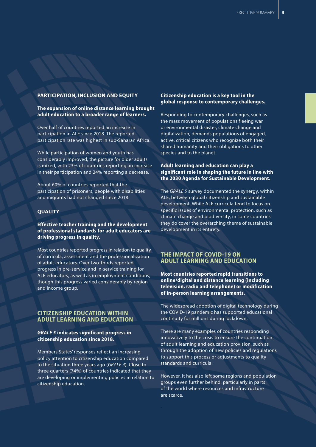#### **PARTICIPATION, INCLUSION AND EQUITY**

### **The expansion of online distance learning brought adult education to a broader range of learners.**

Over half of countries reported an increase in participation in ALE since 2018. The reported participation rate was highest in sub-Saharan Africa.

While participation of women and youth has considerably improved, the picture for older adults is mixed, with 23% of countries reporting an increase in their participation and 24% reporting a decrease.

About 60% of countries reported that the participation of prisoners, people with disabilities and migrants had not changed since 2018.

#### **QUALITY**

**Effective teacher training and the development of professional standards for adult educators are driving progress in quality.**

Most countries reported progress in relation to quality of curricula, assessment and the professionalization of adult educators. Over two-thirds reported progress in pre-service and in-service training for ALE educators, as well as in employment conditions, though this progress varied considerably by region and income group.

#### **CITIZENSHIP EDUCATION WITHIN ADULT LEARNING AND EDUCATION**

#### *GRALE 5* **indicates significant progress in citizenship education since 2018.**

Members States' responses reflect an increasing policy attention to citizenship education compared to the situation three years ago (*GRALE 4*). Close to three quarters (74%) of countries indicated that they are developing or implementing policies in relation to citizenship education.

#### **Citizenship education is a key tool in the global response to contemporary challenges.**

Responding to contemporary challenges, such as the mass movement of populations fleeing war or environmental disaster, climate change and digitalization, demands populations of engaged, active, critical citizens who recognize both their shared humanity and their obligations to other species and to the planet.

### **Adult learning and education can play a significant role in shaping the future in line with the 2030 Agenda for Sustainable Development.**

The *GRALE 5* survey documented the synergy, within ALE, between global citizenship and sustainable development. While ALE curricula tend to focus on specific issues of environmental protection, such as climate change and biodiversity, in some countries they do cover the overarching theme of sustainable development in its entirety.

# **THE IMPACT OF COVID-19 ON ADULT LEARNING AND EDUCATION**

**Most countries reported rapid transitions to online/digital and distance learning (including television, radio and telephone) or modification of in-person learning arrangements.** 

The widespread adoption of digital technology during the COVID-19 pandemic has supported educational continuity for millions during lockdown.

There are many examples of countries responding innovatively to the crisis to ensure the continuation of adult learning and education provision, such as through the adoption of new policies and regulations to support this process or adjustments to quality standards and curricula.

However, it has also left some regions and population groups even further behind, particularly in parts of the world where resources and infrastructure are scarce.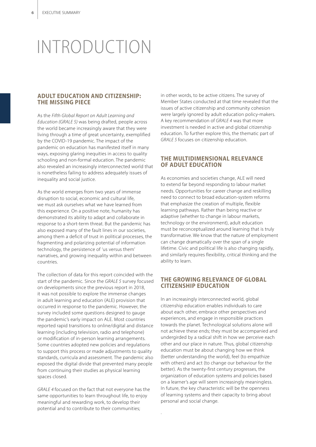# INTRODUCTION

# **ADULT EDUCATION AND CITIZENSHIP: THE MISSING PIECE**

As the *Fifth Global Report on Adult Learning and Education (GRALE 5)* was being drafted, people across the world became increasingly aware that they were living through a time of great uncertainty, exemplified by the COVID-19 pandemic. The impact of the pandemic on education has manifested itself in many ways, exposing glaring inequities in access to quality schooling and non-formal education. The pandemic also revealed an increasingly interconnected world that is nonetheless failing to address adequately issues of inequality and social justice.

As the world emerges from two years of immense disruption to social, economic and cultural life, we must ask ourselves what we have learned from this experience. On a positive note, humanity has demonstrated its ability to adapt and collaborate in response to a short-term threat. But the pandemic has also exposed many of the fault lines in our societies, among them a deficit of trust in political processes, the fragmenting and polarizing potential of information technology, the persistence of 'us versus them' narratives, and growing inequality within and between countries.

The collection of data for this report coincided with the start of the pandemic. Since the *GRALE 5* survey focused on developments since the previous report in 2018, it was not possible to explore the immense changes in adult learning and education (ALE) provision that occurred in response to the pandemic. However, the survey included some questions designed to gauge the pandemic's early impact on ALE. Most countries reported rapid transitions to online/digital and distance learning (including television, radio and telephone) or modification of in-person learning arrangements. Some countries adopted new policies and regulations to support this process or made adjustments to quality standards, curricula and assessment. The pandemic also exposed the digital divide that prevented many people from continuing their studies as physical learning spaces closed.

*GRALE 4* focused on the fact that not everyone has the same opportunities to learn throughout life, to enjoy meaningful and rewarding work, to develop their potential and to contribute to their communities;

.

in other words, to be active citizens. The survey of Member States conducted at that time revealed that the issues of active citizenship and community cohesion were largely ignored by adult education policy-makers. A key recommendation of *GRALE 4* was that more investment is needed in active and global citizenship education. To further explore this, the thematic part of *GRALE 5* focuses on citizenship education.

# **THE MULTIDIMENSIONAL RELEVANCE OF ADULT EDUCATION**

As economies and societies change, ALE will need to extend far beyond responding to labour market needs. Opportunities for career change and reskilling need to connect to broad education-system reforms that emphasize the creation of multiple, flexible learning pathways. Rather than being reactive or adaptive (whether to change in labour markets, technology or the environment), adult education must be reconceptualized around learning that is truly transformative. We know that the nature of employment can change dramatically over the span of a single lifetime. Civic and political life is also changing rapidly, and similarly requires flexibility, critical thinking and the ability to learn.

# **THE GROWING RELEVANCE OF GLOBAL CITIZENSHIP EDUCATION**

In an increasingly interconnected world, global citizenship education enables individuals to care about each other, embrace other perspectives and experiences, and engage in responsible practices towards the planet. Technological solutions alone will not achieve these ends; they must be accompanied and undergirded by a radical shift in how we perceive each other and our place in nature. Thus, global citizenship education must be about changing how we think (better understanding the world), feel (to empathize with others) and act (to change our behaviour for the better). As the twenty-first century progresses, the organization of education systems and policies based on a learner's age will seem increasingly meaningless. In future, the key characteristic will be the openness of learning systems and their capacity to bring about personal and social change.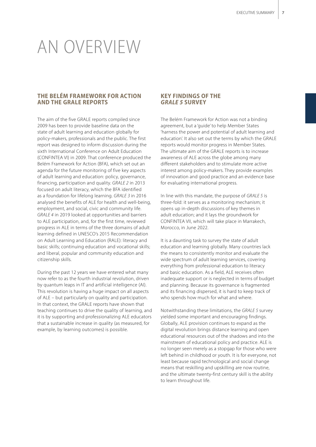# AN OVERVIEW

# **THE BELÉM FRAMEWORK FOR ACTION AND THE GRALE REPORTS**

The aim of the five GRALE reports compiled since 2009 has been to provide baseline data on the state of adult learning and education globally for policy-makers, professionals and the public. The first report was designed to inform discussion during the sixth International Conference on Adult Education (CONFINTEA VI) in 2009. That conference produced the Belém Framework for Action (BFA), which set out an agenda for the future monitoring of five key aspects of adult learning and education: policy, governance, financing, participation and quality. *GRALE 2* in 2013 focused on adult literacy, which the BFA identified as a foundation for lifelong learning. *GRALE 3* in 2016 analysed the benefits of ALE for health and well-being, employment, and social, civic and community life. *GRALE 4* in 2019 looked at opportunities and barriers to ALE participation, and, for the first time, reviewed progress in ALE in terms of the three domains of adult learning defined in UNESCO's 2015 Recommendation on Adult Learning and Education (RALE): literacy and basic skills; continuing education and vocational skills; and liberal, popular and community education and citizenship skills.

During the past 12 years we have entered what many now refer to as the fourth industrial revolution, driven by quantum leaps in IT and artificial intelligence (AI). This revolution is having a huge impact on all aspects of ALE – but particularly on quality and participation. In that context, the GRALE reports have shown that teaching continues to drive the quality of learning, and it is by supporting and professionalizing ALE educators that a sustainable increase in quality (as measured, for example, by learning outcomes) is possible.

# **KEY FINDINGS OF THE**  *GRALE 5* **SURVEY**

The Belém Framework for Action was not a binding agreement, but a 'guide' to help Member States 'harness the power and potential of adult learning and education'. It also set out the terms by which the GRALE reports would monitor progress in Member States. The ultimate aim of the GRALE reports is to increase awareness of ALE across the globe among many different stakeholders and to stimulate more active interest among policy-makers. They provide examples of innovation and good practice and an evidence base for evaluating international progress.

In line with this mandate, the purpose of *GRALE 5* is three-fold: it serves as a monitoring mechanism; it opens up in-depth discussions of key themes in adult education; and it lays the groundwork for CONFINTEA VII, which will take place in Marrakech, Morocco, in June 2022.

It is a daunting task to survey the state of adult education and learning globally. Many countries lack the means to consistently monitor and evaluate the wide spectrum of adult learning services, covering everything from professional education to literacy and basic education. As a field, ALE receives often inadequate support or is neglected in terms of budget and planning. Because its governance is fragmented and its financing dispersed, it is hard to keep track of who spends how much for what and where.

Notwithstanding these limitations, the *GRALE 5* survey yielded some important and encouraging findings. Globally, ALE provision continues to expand as the digital revolution brings distance learning and open educational resources out of the shadows and into the mainstream of educational policy and practice. ALE is no longer seen merely as a stopgap for those who were left behind in childhood or youth. It is for everyone, not least because rapid technological and social change means that reskilling and upskilling are now routine, and the ultimate twenty-first century skill is the ability to learn throughout life.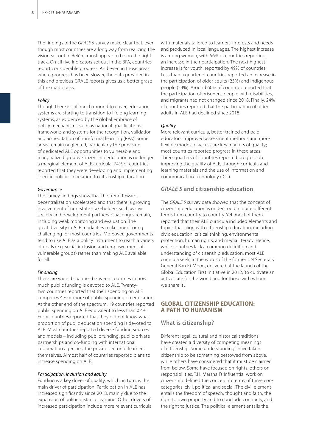The findings of the *GRALE 5* survey make clear that, even though most countries are a long way from realizing the vision set out in Belém, most appear to be on the right track. On all five indicators set out in the BFA, countries report considerable progress. And even in those areas where progress has been slower, the data provided in this and previous GRALE reports gives us a better grasp of the roadblocks.

#### *Policy*

Though there is still much ground to cover, education systems are starting to transition to lifelong learning systems, as evidenced by the global embrace of policy mechanisms such as national qualifications frameworks and systems for the recognition, validation and accreditation of non-formal learning (RVA). Some areas remain neglected, particularly the provision of dedicated ALE opportunities to vulnerable and marginalized groups. Citizenship education is no longer a marginal element of ALE curricula: 74% of countries reported that they were developing and implementing specific policies in relation to citizenship education.

#### *Governance*

The survey findings show that the trend towards decentralization accelerated and that there is growing involvement of non-state stakeholders such as civil society and development partners. Challenges remain, including weak monitoring and evaluation. The great diversity in ALE modalities makes monitoring challenging for most countries. Moreover, governments tend to use ALE as a policy instrument to reach a variety of goals (e.g. social inclusion and empowerment of vulnerable groups) rather than making ALE available for all.

#### *Financing*

There are wide disparities between countries in how much public funding is devoted to ALE. Twentytwo countries reported that their spending on ALE comprises 4% or more of public spending on education. At the other end of the spectrum, 19 countries reported public spending on ALE equivalent to less than 0.4%. Forty countries reported that they did not know what proportion of public education spending is devoted to ALE. Most countries reported diverse funding sources and models – including public funding, public-private partnerships and co-funding with international cooperation agencies, the private sector or learners themselves. Almost half of countries reported plans to increase spending on ALE.

#### *Participation, inclusion and equity*

Funding is a key driver of quality, which, in turn, is the main driver of participation. Participation in ALE has increased significantly since 2018, mainly due to the expansion of online distance learning. Other drivers of increased participation include more relevant curricula with materials tailored to learners' interests and needs and produced in local languages. The highest increase is among women, with 56% of countries reporting an increase in their participation. The next highest increase is for youth, reported by 49% of countries. Less than a quarter of countries reported an increase in the participation of older adults (23%) and Indigenous people (24%). Around 60% of countries reported that the participation of prisoners, people with disabilities, and migrants had not changed since 2018. Finally, 24% of countries reported that the participation of older adults in ALE had declined since 2018.

#### *Quality*

More relevant curricula, better trained and paid educators, improved assessment methods and more flexible modes of access are key markers of quality; most countries reported progress in these areas. Three-quarters of countries reported progress on improving the quality of ALE, through curricula and learning materials and the use of information and communication technology (ICT).

# *GRALE 5* **and citizenship education**

The *GRALE 5* survey data showed that the concept of citizenship education is understood in quite different terms from country to country. Yet, most of them reported that their ALE curricula included elements and topics that align with citizenship education, including civic education, critical thinking, environmental protection, human rights, and media literacy. Hence, while countries lack a common definition and understanding of citizenship education, most ALE curricula seek, in the words of the former UN Secretary General Ban Ki-Moon, delivered at the launch of the Global Education First Initiative in 2012, 'to cultivate an active care for the world and for those with whom we share it'

# **GLOBAL CITIZENSHIP EDUCATION: A PATH TO HUMANISM**

#### **What is citizenship?**

Different legal, cultural and historical traditions have created a diversity of competing meanings of citizenship. Some understandings have taken citizenship to be something bestowed from above, while others have considered that it must be claimed from below. Some have focused on rights, others on responsibilities. T.H. Marshall's influential work on citizenship defined the concept in terms of three core categories: civil, political and social. The civil element entails the freedom of speech, thought and faith, the right to own property and to conclude contracts, and the right to justice. The political element entails the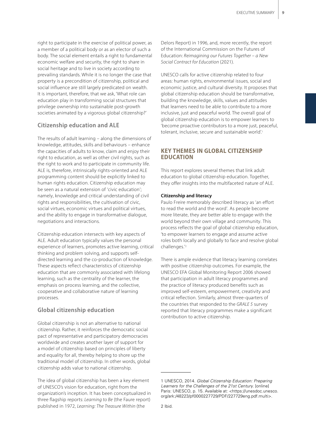right to participate in the exercise of political power, as a member of a political body or as an elector of such a body. The social element entails a right to fundamental economic welfare and security, the right to share in social heritage and to live in society according to prevailing standards. While it is no longer the case that property is a precondition of citizenship, political and social influence are still largely predicated on wealth. It is important, therefore, that we ask, 'What role can education play in transforming social structures that privilege ownership into sustainable post-growth societies animated by a vigorous global citizenship?'

# **Citizenship education and ALE**

The results of adult learning – along the dimensions of knowledge, attitudes, skills and behaviours – enhance the capacities of adults to know, claim and enjoy their right to education, as well as other civil rights, such as the right to work and to participate in community life. ALE is, therefore, intrinsically rights-oriented and ALE programming content should be explicitly linked to human rights education. Citizenship education may be seen as a natural extension of 'civic education'; namely, knowledge and critical understanding of civil rights and responsibilities, the cultivation of civic, social virtues, economic virtues and political virtues, and the ability to engage in transformative dialogue, negotiations and interactions.

Citizenship education intersects with key aspects of ALE. Adult education typically values the personal experience of learners, promotes active learning, critical thinking and problem solving, and supports selfdirected learning and the co-production of knowledge. These aspects reflect characteristics of citizenship education that are commonly associated with lifelong learning, such as the centrality of the learner, the emphasis on process learning, and the collective, cooperative and collaborative nature of learning processes.

### **Global citizenship education**

Global citizenship is not an alternative to national citizenship. Rather, it reinforces the democratic social pact of representative and participatory democracies worldwide and creates another layer of support for a model of citizenship based on principles of liberty and equality for all, thereby helping to shore up the traditional model of citizenship. In other words, global citizenship adds value to national citizenship.

The idea of global citizenship has been a key element of UNESCO's vision for education, right from the organization's inception. It has been conceptualized in three flagship reports: *Learning to Be* (the Faure report) published in 1972, *Learning: The Treasure Within* (the

Delors Report) in 1996, and, more recently, the report of the International Commission on the Futures of Education: *Reimagining our Futures Together – a New Social Contract for Education* (2021).

UNESCO calls for active citizenship related to four areas: human rights, environmental issues, social and economic justice, and cultural diversity. It proposes that global citizenship education should be transformative, building the knowledge, skills, values and attitudes that learners need to be able to contribute to a more inclusive, just and peaceful world. The overall goal of global citizenship education is to empower learners to 'become proactive contributors to a more just, peaceful, tolerant, inclusive, secure and sustainable world'.<sup>1</sup>

# **KEY THEMES IN GLOBAL CITIZENSHIP EDUCATION**

This report explores several themes that link adult education to global citizenship education. Together, they offer insights into the multifaceted nature of ALE.

#### **Citizenship and literacy**

Paulo Freire memorably described literacy as 'an effort to read the world and the word'. As people become more literate, they are better able to engage with the world beyond their own village and community. This process reflects the goal of global citizenship education, 'to empower learners to engage and assume active roles both locally and globally to face and resolve global challenges.'2

There is ample evidence that literacy learning correlates with positive citizenship outcomes. For example, the UNESCO EFA Global Monitoring Report 2006 showed that participation in adult literacy programmes and the practice of literacy produced benefits such as improved self-esteem, empowerment, creativity and critical reflection. Similarly, almost three-quarters of the countries that responded to the *GRALE 5* survey reported that literacy programmes make a significant contribution to active citizenship.

2 Ibid.

<sup>1</sup> UNESCO, 2014. *Global Citizenship Education: Preparing Learners for the Challenges of the 21st Century.* [online] Paris: UNESCO, p. 15. Available at: <https://unesdoc.unesco. org/ark:/48223/pf0000227729/PDF/227729eng.pdf.multi>.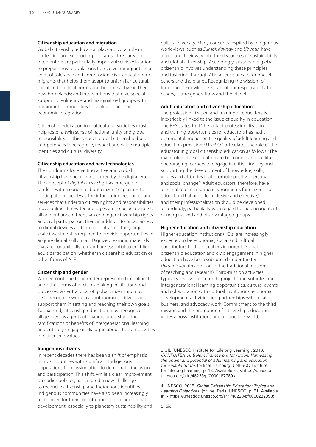#### **Citizenship education and migration**

Global citizenship education plays a pivotal role in protecting and supporting migrants. Three areas of intervention are particularly important: civic education to prepare host populations to receive immigrants in a spirit of tolerance and compassion; civic education for migrants that helps them adapt to unfamiliar cultural, social and political norms and become active in their new homelands; and interventions that give special support to vulnerable and marginalized groups within immigrant communities to facilitate their socioeconomic integration.

Citizenship education in multicultural societies must help foster a twin sense of national unity and global responsibility. In this respect, global citizenship builds competences to recognize, respect and value multiple identities and cultural diversity.

#### **Citizenship education and new technologies**

The conditions for enacting active and global citizenship have been transformed by the digital era. The concept of *digital citizenship* has emerged in tandem with a concern about citizens' capacities to participate in society as the information, resources and services that underpin citizen rights and responsibilities move online. If new technologies are to be accessible to all and enhance rather than endanger citizenship rights and civil participation, then, in addition to broad access to digital devices and internet infrastructure, largescale investment is required to provide opportunities to acquire digital skills to all. Digitized learning materials that are contextually relevant are essential to enabling adult participation, whether in citizenship education or other forms of ALE.

#### **Citizenship and gender**

Women continue to be under-represented in political and other forms of decision-making institutions and processes. A central goal of global citizenship must be to recognize women as autonomous citizens and support them in setting and reaching their own goals. To that end, citizenship education must recognize all genders as agents of change, understand the ramifications or benefits of intergenerational learning and critically engage in dialogue about the complexities of citizenship values.

#### **Indigenous citizens**

In recent decades there has been a shift of emphasis in most countries with significant Indigenous populations from assimilation to democratic inclusion and participation. This shift, while a clear improvement on earlier policies, has created a new challenge to reconcile citizenship and Indigenous identities. Indigenous communities have also been increasingly recognized for their contribution to local and global development, especially to planetary sustainability and cultural diversity. Many concepts inspired by Indigenous worldviews, such as *Sumak Kawsay* and *Ubuntu*, have also found their way into the discourses of sustainability and global citizenship. Accordingly, sustainable global citizenship involves understanding these principles and fostering, through ALE, a sense of care for oneself, others and the planet. Recognizing the wisdom of Indigenous knowledge is part of our responsibility to others, future generations and the planet.

#### **Adult educators and citizenship education**

The professionalization and training of educators is inextricably linked to the issue of quality in education. The BFA states that 'the lack of professionalization and training opportunities for educators has had a detrimental impact on the quality of adult learning and education provision'.<sup>3</sup> UNESCO articulates the role of the educator in global citizenship education as follows: 'The main role of the educator is to be a guide and facilitator, encouraging learners to engage in critical inquiry and supporting the development of knowledge, skills, values and attitudes that promote positive personal and social change.'4 Adult educators, therefore, have a critical role in creating environments for citizenship education that are safe, inclusive and effective,<sup>5</sup> and their professionalization should be developed accordingly, particularly with regard to the engagement of marginalized and disadvantaged groups.

#### **Higher education and citizenship education**

Higher education institutions (HEIs) are increasingly expected to be economic, social and cultural contributors to their local environment. Global citizenship education and civic engagement in higher education have been subsumed under the term *third mission* (in addition to the traditional missions of teaching and research). Third-mission activities typically involve community projects and volunteering, intergenerational learning opportunities, cultural events and collaboration with cultural institutions, economic development activities and partnerships with local business, and advocacy work. Commitment to the third mission and the promotion of citizenship education varies across institutions and around the world;

5 Ibid.

<sup>3</sup> UIL (UNESCO Institute for Lifelong Learning), 2010. *CONFINTEA VI, Belém Framework for Action: Harnessing the power and potential of adult learning and education for a viable future.* [online] Hamburg: UNESCO Institute for Lifelong Learning, p. 13. Available at: <https://unesdoc. unesco.org/ark:/48223/pf0000187789>

<sup>4</sup> UNESCO, 2015. *Global Citizenship Education: Topics and Learning Objectives*. [online] Paris: UNESCO, p. 51. Available at: <https://unesdoc.unesco.org/ark:/48223/pf0000232993>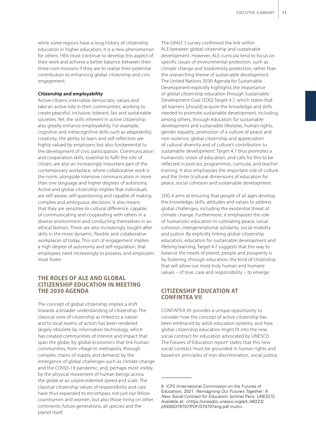while some regions have a long history of citizenship education in higher education, it is a new phenomenon for others. HEIs must continue to develop this aspect of their work and achieve a better balance between their three core missions if they are to realize their potential contribution to enhancing global citizenship and civic engagement.

#### **Citizenship and employability**

Active citizens internalize democratic values and take an active role in their communities, working to create peaceful, inclusive, tolerant, fair and sustainable societies. Yet, the skills inherent in active citizenship also greatly enhance employability. For example, cognitive and metacognitive skills such as adaptability, creativity, the ability to learn and self-reflection are highly valued by employers but also fundamental to the development of civic participation. Communication and cooperation skills, essential to fulfil the role of citizen, are also an increasingly important part of the contemporary workplace, where collaborative work is the norm, alongside intensive communication in more than one language and higher degrees of autonomy. Active and global citizenship implies that individuals are self-aware, self-questioning and capable of making complex and ambiguous decisions. It also means that they are sensitive to cultural difference, capable of communicating and cooperating with others in a diverse environment and conducting themselves in an ethical fashion. These are also increasingly sought-after skills in the more dynamic, flexible and collaborative workplaces of today. This sort of engagement implies a high degree of autonomy and self-regulation, that employees need increasingly to possess, and employers must foster.

# **THE ROLES OF ALE AND GLOBAL CITIZENSHIP EDUCATION IN MEETING THE 2030 AGENDA**

The concept of global citizenship implies a shift towards a broader understanding of citizenship. The classical view of citizenship as linked to a nation and to local realms of action has been rendered largely obsolete by information technology, which has created communities of interest and impact that span the globe; by global economics that link human communities, from village to metropolis, through complex chains of supply and demand; by the emergence of global challenges such as climate change and the COVID-19 pandemic; and, perhaps most visibly, by the physical movement of human beings across the globe at an unprecedented speed and scale. The classical citizenship values of responsibility and care have thus expanded to encompass not just our fellow countrymen and women, but also those living on other continents, future generations, all species and the planet itself.

The *GRALE 5* survey confirmed the link within ALE between global citizenship and sustainable development. However, ALE curricula tend to focus on specific issues of environmental protection, such as climate change and biodiversity protection, rather than the overarching theme of sustainable development. The United Nations 2030 Agenda for Sustainable Development explicitly highlights the importance of global citizenship education through Sustainable Development Goal (SDG) Target 4.7, which states that 'all learners [should] acquire the knowledge and skills needed to promote sustainable development, including, among others, through education for sustainable development and sustainable lifestyles, human rights, gender equality, promotion of a culture of peace and non-violence, global citizenship and appreciation of cultural diversity and of culture's contribution to sustainable development'. Target 4.7 thus promotes a humanistic vision of education, and calls for this to be reflected in policies, programmes, curricula, and teacher training. It also emphasizes the important role of culture and the (inter-)cultural dimensions of education for peace, social cohesion and sustainable development.

SDG 4 aims at ensuring that people of all ages develop the knowledge, skills, attitudes and values to address global challenges, including the existential threat of climate change. Furthermore, it emphasizes the role of humanistic education in cultivating peace, social cohesion, intergenerational solidarity, social mobility and justice. By explicitly linking global citizenship education, education for sustainable development and lifelong learning, Target 4.7 suggests that the way to balance the needs of planet, people and prosperity is by fostering, through education, the kind of citizenship that will allow our most truly human and humane values – of love, care and responsibility – to emerge.

# **CITIZENSHIP EDUCATION AT CONFINTEA VII**

CONFINTEA VII provides a unique opportunity to consider how the concept of active citizenship has been embraced by adult education systems, and how global citizenship education might fit into the new social contract for education advocated by UNESCO. The Futures of Education report<sup>6</sup> states that this new social contract 'must be grounded in human rights and based on principles of non-discrimination, social justice,

<sup>6</sup> ICFE (International Commission on the Futures of Education), 2021. *Reimagining Our Futures Together: A New Social Contract for Education.* [online] Paris: UNESCO. Available at: <https://unesdoc.unesco.org/ark:/48223/ pf0000379707/PDF/379707eng.pdf.multi>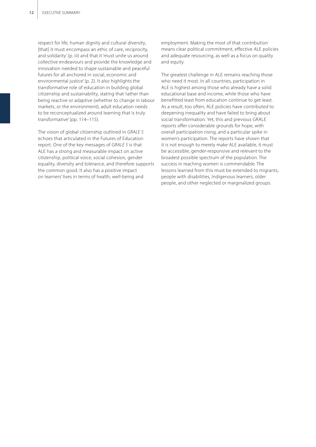respect for life, human dignity and cultural diversity, [that] it must encompass an ethic of care, reciprocity, and solidarity' (p. iii) and that it 'must unite us around collective endeavours and provide the knowledge and innovation needed to shape sustainable and peaceful futures for all anchored in social, economic and environmental justice' (p. 2). It also highlights the transformative role of education in building global citizenship and sustainability, stating that 'rather than being reactive or adaptive (whether to change in labour markets, or the environment), adult education needs to be reconceptualized around learning that is truly transformative' (pp. 114–115).

The vision of global citizenship outlined in *GRALE 5*  echoes that articulated in the Futures of Education report. One of the key messages of *GRALE 5* is that ALE has a strong and measurable impact on active citizenship, political voice, social cohesion, gender equality, diversity and tolerance, and therefore supports the common good. It also has a positive impact on learners' lives in terms of health, well-being and

employment. Making the most of that contribution means clear political commitment, effective ALE policies and adequate resourcing, as well as a focus on quality and equity.

The greatest challenge in ALE remains reaching those who need it most. In all countries, participation in ALE is highest among those who already have a solid educational base and income, while those who have benefitted least from education continue to get least. As a result, too often, ALE policies have contributed to deepening inequality and have failed to bring about social transformation. Yet, this and previous GRALE reports offer considerable grounds for hope, with overall participation rising, and a particular spike in women's participation. The reports have shown that it is not enough to merely make ALE available, it must be accessible, gender-responsive and relevant to the broadest possible spectrum of the population. The success in reaching women is commendable. The lessons learned from this must be extended to migrants, people with disabilities, Indigenous learners, older people, and other neglected or marginalized groups.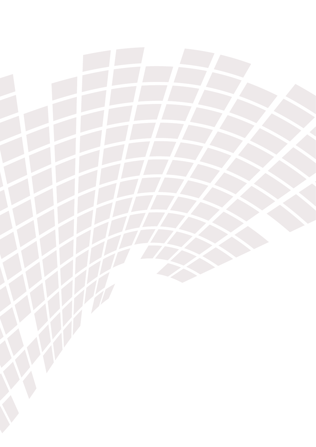